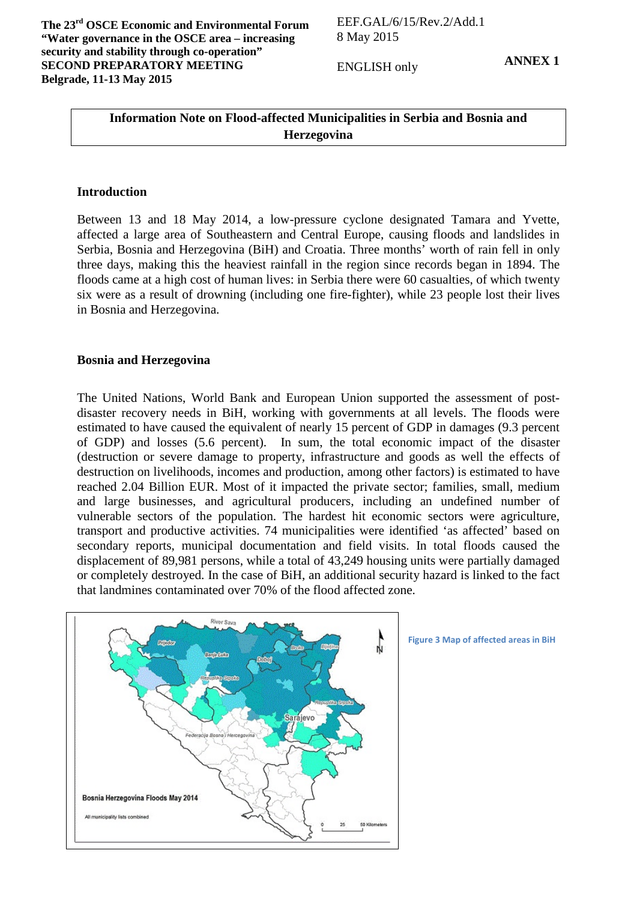ENGLISH only

**ANNEX 1**

## **Information Note on Flood-affected Municipalities in Serbia and Bosnia and Herzegovina**

## **Introduction**

Between 13 and 18 May 2014, a low-pressure cyclone designated Tamara and Yvette, affected a large area of Southeastern and Central Europe, causing floods and landslides in Serbia, Bosnia and Herzegovina (BiH) and Croatia. Three months' worth of rain fell in only three days, making this the heaviest rainfall in the region since records began in 1894. The floods came at a high cost of human lives: in Serbia there were 60 casualties, of which twenty six were as a result of drowning (including one fire-fighter), while 23 people lost their lives in Bosnia and Herzegovina.

## **Bosnia and Herzegovina**

The United Nations, World Bank and European Union supported the assessment of postdisaster recovery needs in BiH, working with governments at all levels. The floods were estimated to have caused the equivalent of nearly 15 percent of GDP in damages (9.3 percent of GDP) and losses (5.6 percent). In sum, the total economic impact of the disaster (destruction or severe damage to property, infrastructure and goods as well the effects of destruction on livelihoods, incomes and production, among other factors) is estimated to have reached 2.04 Billion EUR. Most of it impacted the private sector; families, small, medium and large businesses, and agricultural producers, including an undefined number of vulnerable sectors of the population. The hardest hit economic sectors were agriculture, transport and productive activities. 74 municipalities were identified 'as affected' based on secondary reports, municipal documentation and field visits. In total floods caused the displacement of 89,981 persons, while a total of 43,249 housing units were partially damaged or completely destroyed. In the case of BiH, an additional security hazard is linked to the fact that landmines contaminated over 70% of the flood affected zone.



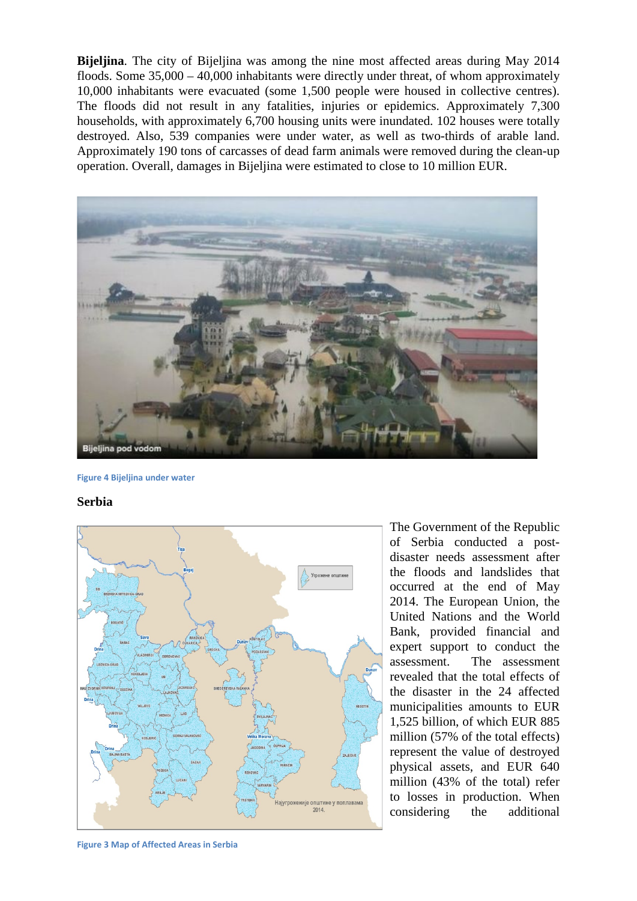**Bijeljina**. The city of Bijeljina was among the nine most affected areas during May 2014 floods. Some 35,000 – 40,000 inhabitants were directly under threat, of whom approximately 10,000 inhabitants were evacuated (some 1,500 people were housed in collective centres). The floods did not result in any fatalities, injuries or epidemics. Approximately 7,300 households, with approximately 6,700 housing units were inundated. 102 houses were totally destroyed. Also, 539 companies were under water, as well as two-thirds of arable land. Approximately 190 tons of carcasses of dead farm animals were removed during the clean-up operation. Overall, damages in Bijeljina were estimated to close to 10 million EUR.



**Figure 4 Bijeljina under water**

**Serbia** 



The Government of the Republic of Serbia conducted a postdisaster needs assessment after the floods and landslides that occurred at the end of May 2014. The European Union, the United Nations and the World Bank, provided financial and expert support to conduct the assessment. The assessment revealed that the total effects of the disaster in the 24 affected municipalities amounts to EUR 1,525 billion, of which EUR 885 million (57% of the total effects) represent the value of destroyed physical assets, and EUR 640 million (43% of the total) refer to losses in production. When considering the additional

**Figure 3 Map of Affected Areas in Serbia**